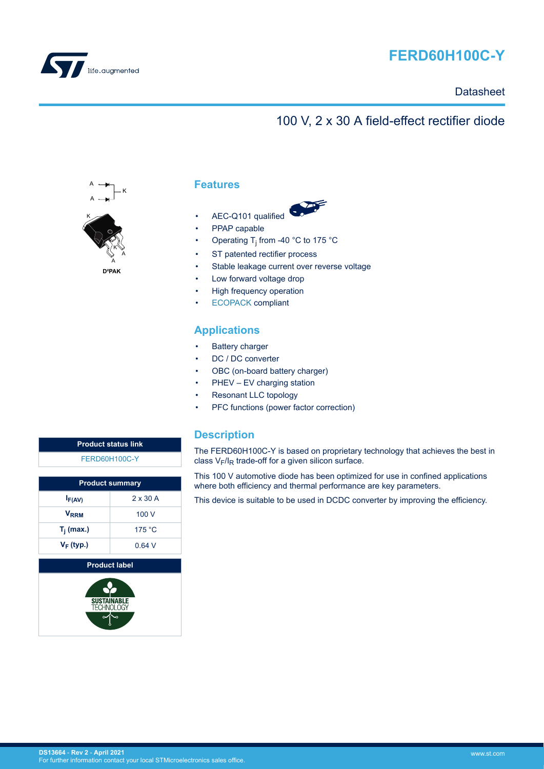

<span id="page-0-0"></span>

### **Datasheet**

# 100 V, 2 x 30 A field-effect rectifier diode



**Features**

- AEC-Q101 qualified
- PPAP capable
- Operating T<sub>j</sub> from -40 °C to 175 °C
- ST patented rectifier process
- Stable leakage current over reverse voltage
- Low forward voltage drop
- High frequency operation
- [ECOPACK](https://www.st.com/ecopack) compliant

## **Applications**

- Battery charger
- DC / DC converter
- OBC (on-board battery charger)
- PHEV EV charging station
- Resonant LLC topology
- PFC functions (power factor correction)

### **Description**

The FERD60H100C-Y is based on proprietary technology that achieves the best in class  $V_F/I_R$  trade-off for a given silicon surface.

This 100 V automotive diode has been optimized for use in confined applications where both efficiency and thermal performance are key parameters.

This device is suitable to be used in DCDC converter by improving the efficiency.

| <b>Product status link</b> |  |
|----------------------------|--|
| <b>FERD60H100C-Y</b>       |  |

|              | <b>Product summary</b> |  |  |
|--------------|------------------------|--|--|
| $I_{F(AV)}$  | $2 \times 30$ A        |  |  |
| <b>VRRM</b>  | 100 V                  |  |  |
| $T_i$ (max.) | 175 °C                 |  |  |
| $V_F$ (typ.) | 0.64V                  |  |  |

**Product label** SUSTAINABLI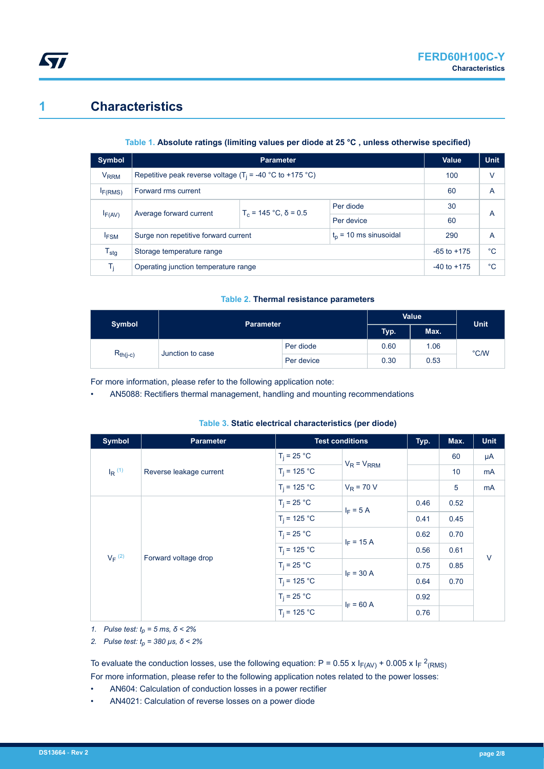## **1 Characteristics**

### **Table 1. Absolute ratings (limiting values per diode at 25 °C , unless otherwise specified)**

| Symbol                 |                                                              | Value                   | <b>Unit</b>              |                 |             |
|------------------------|--------------------------------------------------------------|-------------------------|--------------------------|-----------------|-------------|
| <b>V<sub>RRM</sub></b> | Repetitive peak reverse voltage ( $T_i$ = -40 °C to +175 °C) |                         |                          | 100             | V           |
| I <sub>F(RMS)</sub>    | Forward rms current<br>60                                    |                         |                          |                 | A           |
|                        | Average forward current<br>$I_{F(AV)}$                       | $T_c$ = 145 °C, δ = 0.5 | Per diode                | 30              | A           |
|                        |                                                              |                         | Per device               | 60              |             |
| <b>IFSM</b>            | Surge non repetitive forward current                         |                         | $t_0$ = 10 ms sinusoidal | 290             | A           |
| $T_{\text{stg}}$       | Storage temperature range                                    |                         |                          | $-65$ to $+175$ | $^{\circ}C$ |
| Tĩ.                    | Operating junction temperature range<br>$-40$ to $+175$      |                         |                          | °C              |             |

#### **Table 2. Thermal resistance parameters**

| <b>Symbol</b> | <b>Parameter</b> |            | <b>Value</b> |      | <b>Unit</b> |  |
|---------------|------------------|------------|--------------|------|-------------|--|
|               |                  |            |              | Max. |             |  |
| $R_{th(j-c)}$ |                  | Per diode  | 0.60         | 1.06 | °C/W        |  |
|               | Junction to case | Per device | 0.30         | 0.53 |             |  |

For more information, please refer to the following application note:

• AN5088: Rectifiers thermal management, handling and mounting recommendations

| <b>Symbol</b>        | <b>Parameter</b>        |                | <b>Test conditions</b> | Typ. | Max. | <b>Unit</b> |
|----------------------|-------------------------|----------------|------------------------|------|------|-------------|
|                      |                         | $T_i = 25 °C$  | $V_R = V_{RRM}$        |      | 60   | μA          |
| $I_R$ <sup>(1)</sup> | Reverse leakage current | $T_i = 125 °C$ |                        |      | 10   | mA          |
|                      |                         | $T_i = 125 °C$ | $V_R$ = 70 V           |      | 5    | mA          |
|                      |                         | $T_i = 25 °C$  | $I_F = 5 A$            | 0.46 | 0.52 | $\vee$      |
|                      |                         | $T_i = 125 °C$ |                        | 0.41 | 0.45 |             |
|                      |                         | $T_i = 25 °C$  | $I_F = 15 A$           | 0.62 | 0.70 |             |
| $V_F$ (2)            |                         | $T_i = 125 °C$ |                        | 0.56 | 0.61 |             |
|                      | Forward voltage drop    | $T_i = 25 °C$  | $I_F = 30 A$           | 0.75 | 0.85 |             |
|                      |                         | $T_i = 125 °C$ |                        | 0.64 | 0.70 |             |
|                      |                         | $T_i = 25 °C$  | $I_F = 60 A$           | 0.92 |      |             |
|                      |                         | $T_i = 125 °C$ |                        | 0.76 |      |             |

#### **Table 3. Static electrical characteristics (per diode)**

*1. Pulse test: tp = 5 ms, δ < 2%*

*2. Pulse test: tp = 380 µs, δ < 2%*

To evaluate the conduction losses, use the following equation: P = 0.55 x  $I_{F(AV)}$  + 0.005 x  $I_F$  <sup>2</sup><sub>(RMS)</sub> For more information, please refer to the following application notes related to the power losses:

- AN604: Calculation of conduction losses in a power rectifier
- AN4021: Calculation of reverse losses on a power diode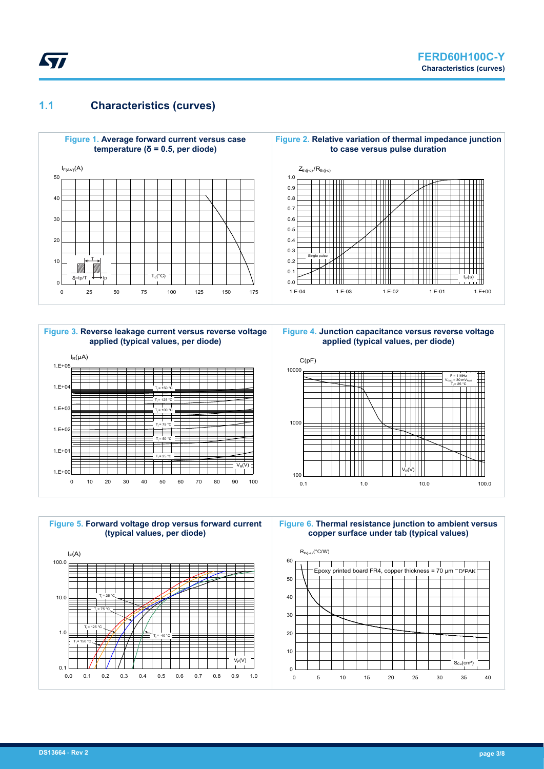## **1.1 Characteristics (curves)**



 $V_{\rm e}(V)$ 



0 10 20 30 40 50 60 70 80 90 100

 $T_j = 25 °C$ 

 $T_j$  = 75 °C  $T_j = 50 °C$ 





**Figure 4. Junction capacitance versus reverse voltage**



**Figure 6. Thermal resistance junction to ambient versus copper surface under tab (typical values)**



1.E+00

 $1.E+0'$ 

1.E+02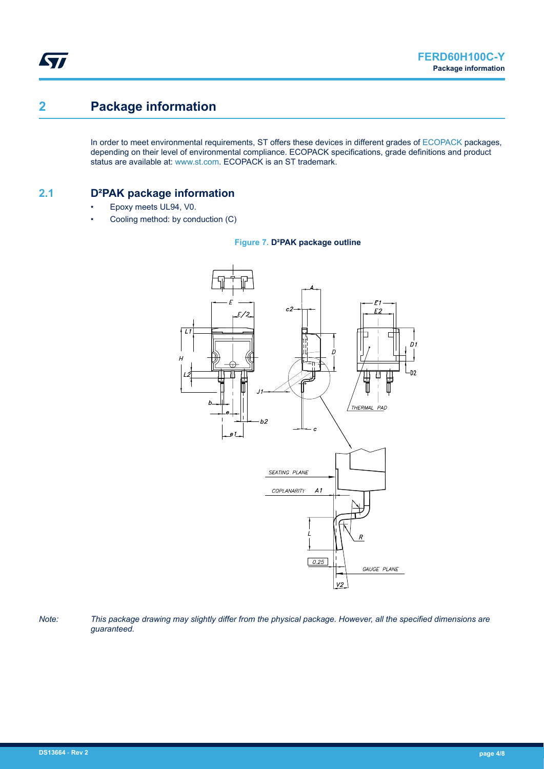# **2 Package information**

ST

In order to meet environmental requirements, ST offers these devices in different grades of [ECOPACK](https://www.st.com/ecopack) packages, depending on their level of environmental compliance. ECOPACK specifications, grade definitions and product status are available at: [www.st.com.](http://www.st.com) ECOPACK is an ST trademark.

### **2.1 D²PAK package information**

- Epoxy meets UL94, V0.
- Cooling method: by conduction (C)





*Note: This package drawing may slightly differ from the physical package. However, all the specified dimensions are guaranteed.*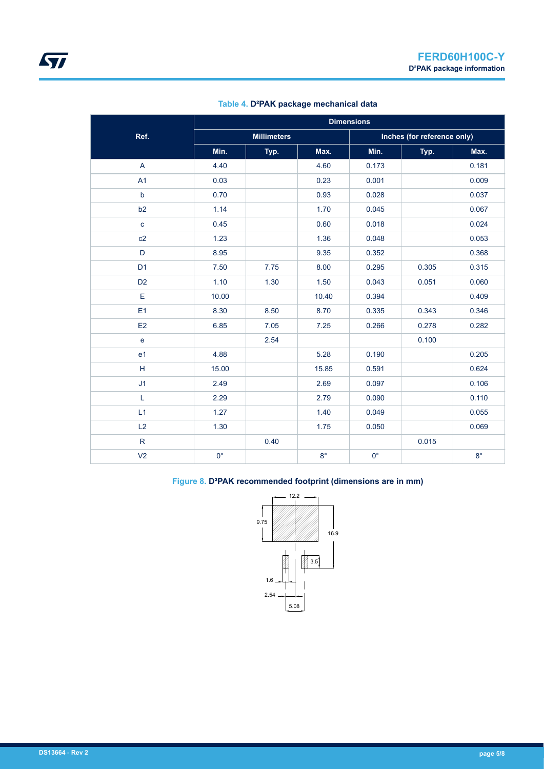|                |             | <b>Dimensions</b>  |             |             |                             |             |  |  |
|----------------|-------------|--------------------|-------------|-------------|-----------------------------|-------------|--|--|
| Ref.           |             | <b>Millimeters</b> |             |             | Inches (for reference only) |             |  |  |
|                | Min.        | Typ.               | Max.        | Min.        | Typ.                        | Max.        |  |  |
| $\mathsf A$    | 4.40        |                    | 4.60        | 0.173       |                             | 0.181       |  |  |
| A1             | 0.03        |                    | 0.23        | 0.001       |                             | 0.009       |  |  |
| $\sf b$        | 0.70        |                    | 0.93        | 0.028       |                             | 0.037       |  |  |
| b <sub>2</sub> | 1.14        |                    | 1.70        | 0.045       |                             | 0.067       |  |  |
| $\mathbf c$    | 0.45        |                    | 0.60        | 0.018       |                             | 0.024       |  |  |
| c2             | 1.23        |                    | 1.36        | 0.048       |                             | 0.053       |  |  |
| D              | 8.95        |                    | 9.35        | 0.352       |                             | 0.368       |  |  |
| D <sub>1</sub> | 7.50        | 7.75               | 8.00        | 0.295       | 0.305                       | 0.315       |  |  |
| D <sub>2</sub> | 1.10        | 1.30               | 1.50        | 0.043       | 0.051                       | 0.060       |  |  |
| E              | 10.00       |                    | 10.40       | 0.394       |                             | 0.409       |  |  |
| E1             | 8.30        | 8.50               | 8.70        | 0.335       | 0.343                       | 0.346       |  |  |
| E2             | 6.85        | 7.05               | 7.25        | 0.266       | 0.278                       | 0.282       |  |  |
| $\mathbf{e}$   |             | 2.54               |             |             | 0.100                       |             |  |  |
| e <sub>1</sub> | 4.88        |                    | 5.28        | 0.190       |                             | 0.205       |  |  |
| н              | 15.00       |                    | 15.85       | 0.591       |                             | 0.624       |  |  |
| J <sub>1</sub> | 2.49        |                    | 2.69        | 0.097       |                             | 0.106       |  |  |
| L              | 2.29        |                    | 2.79        | 0.090       |                             | 0.110       |  |  |
| L1             | 1.27        |                    | 1.40        | 0.049       |                             | 0.055       |  |  |
| L2             | 1.30        |                    | 1.75        | 0.050       |                             | 0.069       |  |  |
| ${\sf R}$      |             | 0.40               |             |             | 0.015                       |             |  |  |
| V <sub>2</sub> | $0^{\circ}$ |                    | $8^{\circ}$ | $0^{\circ}$ |                             | $8^{\circ}$ |  |  |

### **Table 4. D²PAK package mechanical data**

### **Figure 8. D²PAK recommended footprint (dimensions are in mm)**

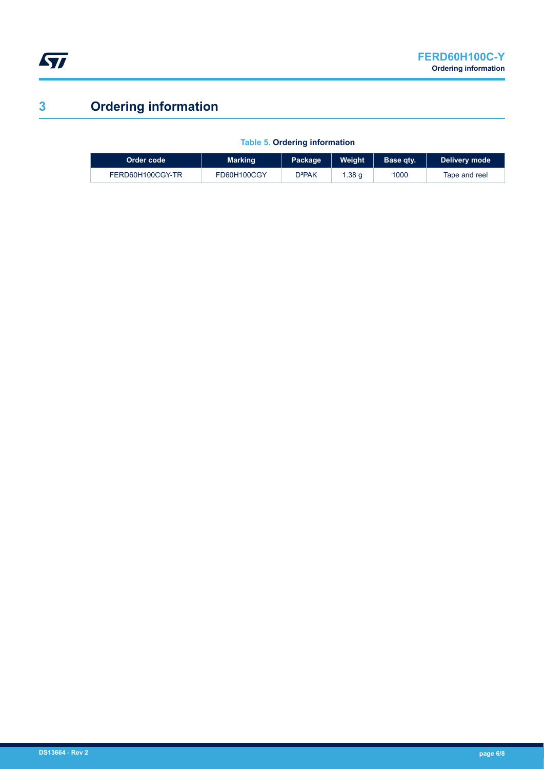

# **3 Ordering information**

|  | <b>Table 5. Ordering information</b> |  |
|--|--------------------------------------|--|
|  |                                      |  |

| Order code <b>i</b> | <b>Marking</b> | Weight<br>Package  |       | Base qty. | Delivery mode |
|---------------------|----------------|--------------------|-------|-----------|---------------|
| FERD60H100CGY-TR    | FD60H100CGY    | D <sup>2</sup> PAK | .38 q | 1000      | Tape and reel |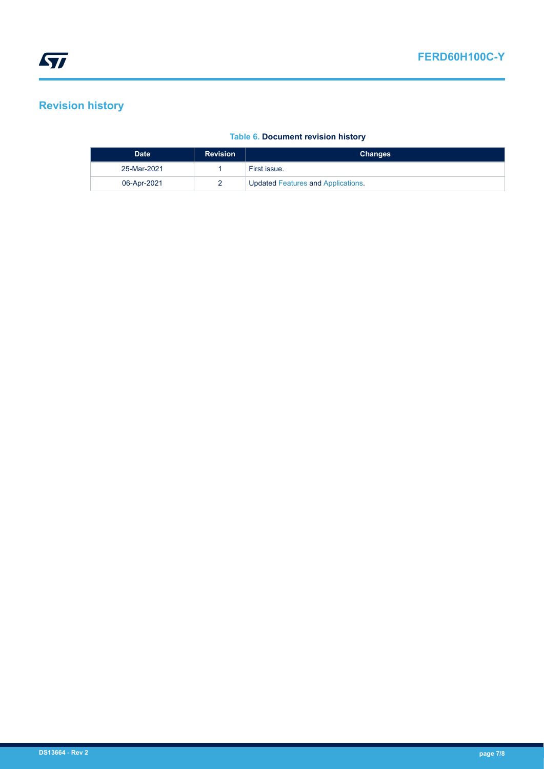# **Revision history**

#### **Table 6. Document revision history**

| <b>Date</b> | <b>Revision</b> | <b>Changes</b>                            |
|-------------|-----------------|-------------------------------------------|
| 25-Mar-2021 |                 | First issue.                              |
| 06-Apr-2021 |                 | <b>Updated Features and Applications.</b> |